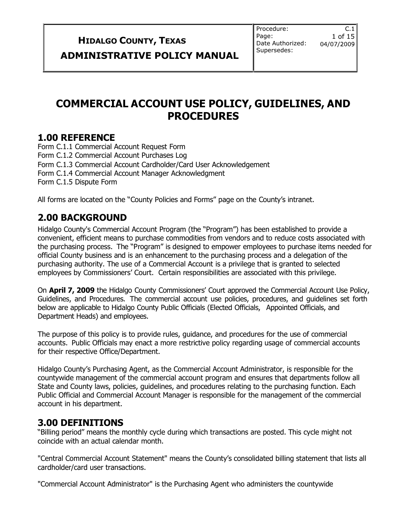**HIDALGO COUNTY, TEXAS**  $\begin{bmatrix} \text{Page:} & 1 & \text{of } 15 \\ \text{Date Authorizontal} & 04/07/2009 \end{bmatrix}$ **ADMINISTRATIVE POLICY MANUAL**

Procedure: Page: Date Authorized: Supersedes:

 $C.1$ 

### **COMMERCIAL ACCOUNT USE POLICY, GUIDELINES, AND PROCEDURES**

### **1.00 REFERENCE**

Form C.1.1 Commercial Account Request Form Form C.1.2 Commercial Account Purchases Log Form C.1.3 Commercial Account Cardholder/Card User Acknowledgement Form C.1.4 Commercial Account Manager Acknowledgment Form C.1.5 Dispute Form

All forms are located on the "County Policies and Forms" page on the County's intranet.

### **2.00 BACKGROUND**

Hidalgo County's Commercial Account Program (the "Program") has been established to provide a convenient, efficient means to purchase commodities from vendors and to reduce costs associated with the purchasing process. The "Program" is designed to empower employees to purchase items needed for official County business and is an enhancement to the purchasing process and a delegation of the purchasing authority. The use of a Commercial Account is a privilege that is granted to selected employees by Commissioners' Court. Certain responsibilities are associated with this privilege.

On **April 7, 2009** the Hidalgo County Commissioners' Court approved the Commercial Account Use Policy, Guidelines, and Procedures. The commercial account use policies, procedures, and guidelines set forth below are applicable to Hidalgo County Public Officials (Elected Officials, Appointed Officials, and Department Heads) and employees.

The purpose of this policy is to provide rules, guidance, and procedures for the use of commercial accounts. Public Officials may enact a more restrictive policy regarding usage of commercial accounts for their respective Office/Department.

Hidalgo County's Purchasing Agent, as the Commercial Account Administrator, is responsible for the countywide management of the commercial account program and ensures that departments follow all State and County laws, policies, guidelines, and procedures relating to the purchasing function. Each Public Official and Commercial Account Manager is responsible for the management of the commercial account in his department.

### **3.00 DEFINITIONS**

"Billing period" means the monthly cycle during which transactions are posted. This cycle might not coincide with an actual calendar month.

"Central Commercial Account Statement" means the County's consolidated billing statement that lists all cardholder/card user transactions.

"Commercial Account Administrator" is the Purchasing Agent who administers the countywide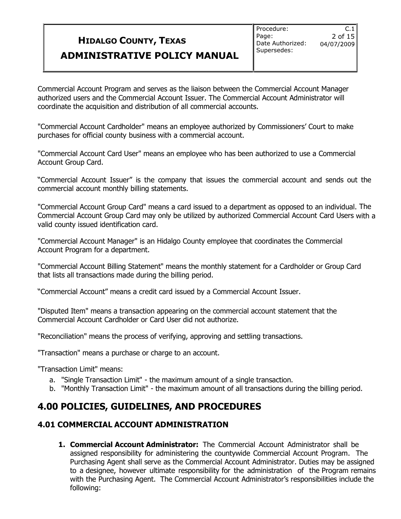$C.1$ 

Commercial Account Program and serves as the liaison between the Commercial Account Manager authorized users and the Commercial Account Issuer. The Commercial Account Administrator will coordinate the acquisition and distribution of all commercial accounts.

"Commercial Account Cardholder" means an employee authorized by Commissioners' Court to make purchases for official county business with a commercial account.

"Commercial Account Card User" means an employee who has been authorized to use a Commercial Account Group Card.

"Commercial Account Issuer" is the company that issues the commercial account and sends out the commercial account monthly billing statements.

"Commercial Account Group Card" means a card issued to a department as opposed to an individual. The Commercial Account Group Card may only be utilized by authorized Commercial Account Card Users with a valid county issued identification card.

"Commercial Account Manager" is an Hidalgo County employee that coordinates the Commercial Account Program for a department.

"Commercial Account Billing Statement" means the monthly statement for a Cardholder or Group Card that lists all transactions made during the billing period.

"Commercial Account" means a credit card issued by a Commercial Account Issuer.

"Disputed Item" means a transaction appearing on the commercial account statement that the Commercial Account Cardholder or Card User did not authorize.

"Reconciliation" means the process of verifying, approving and settling transactions.

"Transaction" means a purchase or charge to an account.

"Transaction Limit" means:

- a. "Single Transaction Limit" the maximum amount of a single transaction.
- b. "Monthly Transaction Limit" the maximum amount of all transactions during the billing period.

### **4.00 POLICIES, GUIDELINES, AND PROCEDURES**

### **4.01 COMMERCIAL ACCOUNT ADMINISTRATION**

**1. Commercial Account Administrator:** The Commercial Account Administrator shall be assigned responsibility for administering the countywide Commercial Account Program. The Purchasing Agent shall serve as the Commercial Account Administrator. Duties may be assigned to a designee, however ultimate responsibility for the administration of the Program remains with the Purchasing Agent. The Commercial Account Administrator's responsibilities include the following: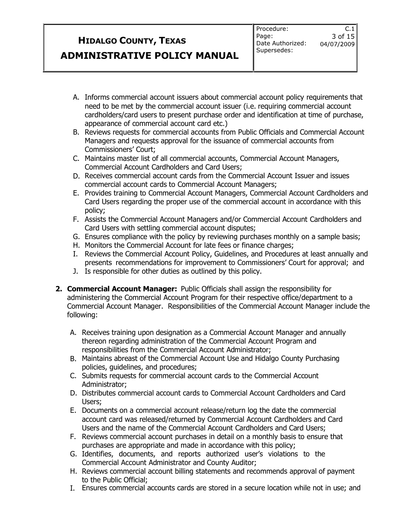$C.1$ 

- A. Informs commercial account issuers about commercial account policy requirements that need to be met by the commercial account issuer (i.e. requiring commercial account cardholders/card users to present purchase order and identification at time of purchase, appearance of commercial account card etc.)
- B. Reviews requests for commercial accounts from Public Officials and Commercial Account Managers and requests approval for the issuance of commercial accounts from Commissioners' Court;
- C. Maintains master list of all commercial accounts, Commercial Account Managers, Commercial Account Cardholders and Card Users;
- D. Receives commercial account cards from the Commercial Account Issuer and issues commercial account cards to Commercial Account Managers;
- E. Provides training to Commercial Account Managers, Commercial Account Cardholders and Card Users regarding the proper use of the commercial account in accordance with this policy;
- F. Assists the Commercial Account Managers and/or Commercial Account Cardholders and Card Users with settling commercial account disputes;
- G. Ensures compliance with the policy by reviewing purchases monthly on a sample basis;
- H. Monitors the Commercial Account for late fees or finance charges;
- I. Reviews the Commercial Account Policy, Guidelines, and Procedures at least annually and presents recommendations for improvement to Commissioners' Court for approval; and
- J. Is responsible for other duties as outlined by this policy.
- **2. Commercial Account Manager:** Public Officials shall assign the responsibility for administering the Commercial Account Program for their respective office/department to a Commercial Account Manager. Responsibilities of the Commercial Account Manager include the following:
	- A. Receives training upon designation as a Commercial Account Manager and annually thereon regarding administration of the Commercial Account Program and responsibilities from the Commercial Account Administrator;
	- B. Maintains abreast of the Commercial Account Use and Hidalgo County Purchasing policies, guidelines, and procedures;
	- C. Submits requests for commercial account cards to the Commercial Account Administrator;
	- D. Distributes commercial account cards to Commercial Account Cardholders and Card Users;
	- E. Documents on a commercial account release/return log the date the commercial account card was released/returned by Commercial Account Cardholders and Card Users and the name of the Commercial Account Cardholders and Card Users;
	- F. Reviews commercial account purchases in detail on a monthly basis to ensure that purchases are appropriate and made in accordance with this policy;
	- G. Identifies, documents, and reports authorized user's violations to the Commercial Account Administrator and County Auditor;
	- H. Reviews commercial account billing statements and recommends approval of payment to the Public Official;
	- I. Ensures commercial accounts cards are stored in a secure location while not in use; and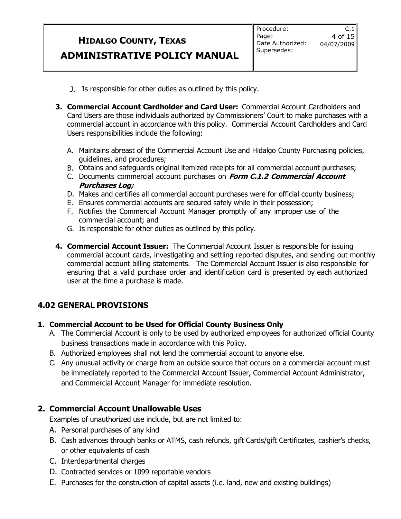- J. Is responsible for other duties as outlined by this policy.
- **3. Commercial Account Cardholder and Card User:** Commercial Account Cardholders and Card Users are those individuals authorized by Commissioners' Court to make purchases with a commercial account in accordance with this policy. Commercial Account Cardholders and Card Users responsibilities include the following:
	- A. Maintains abreast of the Commercial Account Use and Hidalgo County Purchasing policies, guidelines, and procedures;
	- B. Obtains and safeguards original itemized receipts for all commercial account purchases;
	- C. Documents commercial account purchases on **Form C.1.2 Commercial Account Purchases Log;**
	- D. Makes and certifies all commercial account purchases were for official county business;
	- E. Ensures commercial accounts are secured safely while in their possession;
	- F. Notifies the Commercial Account Manager promptly of any improper use of the commercial account; and
	- G. Is responsible for other duties as outlined by this policy.
- **4. Commercial Account Issuer:** The Commercial Account Issuer is responsible for issuing commercial account cards, investigating and settling reported disputes, and sending out monthly commercial account billing statements. The Commercial Account Issuer is also responsible for ensuring that a valid purchase order and identification card is presented by each authorized user at the time a purchase is made.

### **4.02 GENERAL PROVISIONS**

#### **1. Commercial Account to be Used for Official County Business Only**

- A. The Commercial Account is only to be used by authorized employees for authorized official County business transactions made in accordance with this Policy.
- B. Authorized employees shall not lend the commercial account to anyone else.
- C. Any unusual activity or charge from an outside source that occurs on a commercial account must be immediately reported to the Commercial Account Issuer, Commercial Account Administrator, and Commercial Account Manager for immediate resolution.

### **2. Commercial Account Unallowable Uses**

Examples of unauthorized use include, but are not limited to:

- A. Personal purchases of any kind
- B. Cash advances through banks or ATMS, cash refunds, gift Cards/gift Certificates, cashier's checks, or other equivalents of cash
- C. Interdepartmental charges
- D. Contracted services or 1099 reportable vendors
- E. Purchases for the construction of capital assets (i.e. land, new and existing buildings)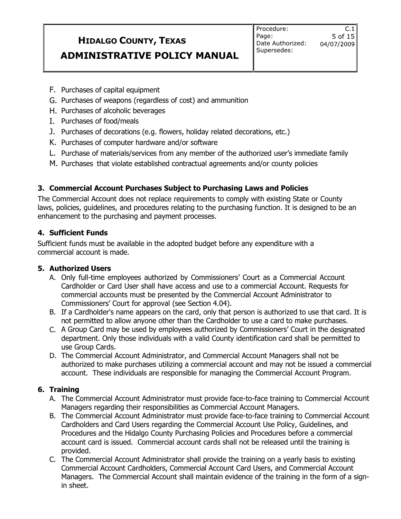Procedure: Page: Date Authorized: Supersedes:

 $C.1$ 

- F. Purchases of capital equipment
- G. Purchases of weapons (regardless of cost) and ammunition
- H. Purchases of alcoholic beverages
- I. Purchases of food/meals
- J. Purchases of decorations (e.g. flowers, holiday related decorations, etc.)
- K. Purchases of computer hardware and/or software
- L. Purchase of materials/services from any member of the authorized user's immediate family
- M. Purchases that violate established contractual agreements and/or county policies

#### **3. Commercial Account Purchases Subject to Purchasing Laws and Policies**

The Commercial Account does not replace requirements to comply with existing State or County laws, policies, guidelines, and procedures relating to the purchasing function. It is designed to be an enhancement to the purchasing and payment processes.

#### **4. Sufficient Funds**

Sufficient funds must be available in the adopted budget before any expenditure with a commercial account is made.

#### **5. Authorized Users**

- A. Only full-time employees authorized by Commissioners' Court as a Commercial Account Cardholder or Card User shall have access and use to a commercial Account. Requests for commercial accounts must be presented by the Commercial Account Administrator to Commissioners' Court for approval (see Section 4.04).
- B. If a Cardholder's name appears on the card, only that person is authorized to use that card. It is not permitted to allow anyone other than the Cardholder to use a card to make purchases.
- C. A Group Card may be used by employees authorized by Commissioners' Court in the designated department. Only those individuals with a valid County identification card shall be permitted to use Group Cards.
- D. The Commercial Account Administrator, and Commercial Account Managers shall not be authorized to make purchases utilizing a commercial account and may not be issued a commercial account. These individuals are responsible for managing the Commercial Account Program.

#### **6. Training**

- A. The Commercial Account Administrator must provide face-to-face training to Commercial Account Managers regarding their responsibilities as Commercial Account Managers.
- B. The Commercial Account Administrator must provide face-to-face training to Commercial Account Cardholders and Card Users regarding the Commercial Account Use Policy, Guidelines, and Procedures and the Hidalgo County Purchasing Policies and Procedures before a commercial account card is issued. Commercial account cards shall not be released until the training is provided.
- C. The Commercial Account Administrator shall provide the training on a yearly basis to existing Commercial Account Cardholders, Commercial Account Card Users, and Commercial Account Managers. The Commercial Account shall maintain evidence of the training in the form of a signin sheet.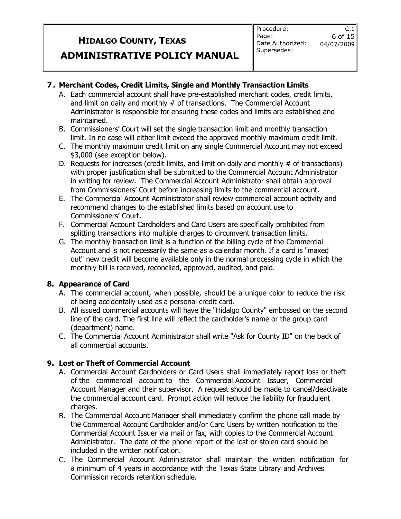$C.1$ 

#### **7 . Merchant Codes, Credit Limits, Single and Monthly Transaction Limits**

- A. Each commercial account shall have pre-established merchant codes, credit limits, and limit on daily and monthly # of transactions. The Commercial Account Administrator is responsible for ensuring these codes and limits are established and maintained.
- B. Commissioners' Court will set the single transaction limit and monthly transaction limit. In no case will either limit exceed the approved monthly maximum credit limit.
- C. The monthly maximum credit limit on any single Commercial Account may not exceed \$3,000 (see exception below).
- D. Requests for increases (credit limits, and limit on daily and monthly  $#$  of transactions) with proper justification shall be submitted to the Commercial Account Administrator in writing for review. The Commercial Account Administrator shall obtain approval from Commissioners' Court before increasing limits to the commercial account.
- E. The Commercial Account Administrator shall review commercial account activity and recommend changes to the established limits based on account use to Commissioners' Court.
- F. Commercial Account Cardholders and Card Users are specifically prohibited from splitting transactions into multiple charges to circumvent transaction limits.
- G. The monthly transaction limit is a function of the billing cycle of the Commercial Account and is not necessarily the same as a calendar month. If a card is "maxed out" new credit will become available only in the normal processing cycle in which the monthly bill is received, reconciled, approved, audited, and paid.

#### **8. Appearance of Card**

- A. The commercial account, when possible, should be a unique color to reduce the risk of being accidentally used as a personal credit card.
- B. All issued commercial accounts will have the "Hidalgo County" embossed on the second line of the card. The first line will reflect the cardholder's name or the group card (department) name.
- C. The Commercial Account Administrator shall write "Ask for County ID" on the back of all commercial accounts.

#### **9. Lost or Theft of Commercial Account**

- A. Commercial Account Cardholders or Card Users shall immediately report loss or theft of the commercial account to the Commercial Account Issuer, Commercial Account Manager and their supervisor. A request should be made to cancel/deactivate the commercial account card. Prompt action will reduce the liability for fraudulent charges.
- B. The Commercial Account Manager shall immediately confirm the phone call made by the Commercial Account Cardholder and/or Card Users by written notification to the Commercial Account Issuer via mail or fax, with copies to the Commercial Account Administrator. The date of the phone report of the lost or stolen card should be included in the written notification.
- C. The Commercial Account Administrator shall maintain the written notification for a minimum of 4 years in accordance with the Texas State Library and Archives Commission records retention schedule.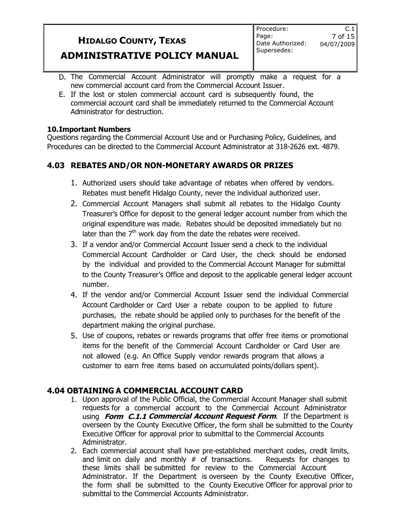- D. The Commercial Account Administrator will promptly make a request for a new commercial account card from the Commercial Account Issuer.
- E. If the lost or stolen commercial account card is subsequently found, the commercial account card shall be immediately returned to the Commercial Account Administrator for destruction.

#### **10.Important Numbers**

Questions regarding the Commercial Account Use and or Purchasing Policy, Guidelines, and Procedures can be directed to the Commercial Account Administrator at 318-2626 ext. 4879.

### **4.03 REBATES AND/OR NON-MONETARY AWARDS OR PRIZES**

- 1. Authorized users should take advantage of rebates when offered by vendors. Rebates must benefit Hidalgo County, never the individual authorized user.
- 2. Commercial Account Managers shall submit all rebates to the Hidalgo County Treasurer's Office for deposit to the general ledger account number from which the original expenditure was made. Rebates should be deposited immediately but no later than the  $7<sup>th</sup>$  work day from the date the rebates were received.
- 3. If a vendor and/or Commercial Account Issuer send a check to the individual Commercial Account Cardholder or Card User, the check should be endorsed by the individual and provided to the Commercial Account Manager for submittal to the County Treasurer's Office and deposit to the applicable general ledger account number.
- 4. If the vendor and/or Commercial Account Issuer send the individual Commercial Account Cardholder or Card User a rebate coupon to be applied to future purchases, the rebate should be applied only to purchases for the benefit of the department making the original purchase.
- 5. Use of coupons, rebates or rewards programs that offer free items or promotional items for the benefit of the Commercial Account Cardholder or Card User are not allowed (e.g. An Office Supply vendor rewards program that allows a customer to earn free items based on accumulated points/dollars spent).

### **4.04 OBTAINING A COMMERCIAL ACCOUNT CARD**

- 1. Upon approval of the Public Official, the Commercial Account Manager shall submit requests for a commercial account to the Commercial Account Administrator using **Form C.1.1 Commercial Account Request Form**. If the Department is overseen by the County Executive Officer, the form shall be submitted to the County Executive Officer for approval prior to submittal to the Commercial Accounts Administrator.
- 2. Each commercial account shall have pre-established merchant codes, credit limits, and limit on daily and monthly  $#$  of transactions. Requests for changes to these limits shall be submitted for review to the Commercial Account Administrator. If the Department is overseen by the County Executive Officer, the form shall be submitted to the County Executive Officer for approval prior to submittal to the Commercial Accounts Administrator.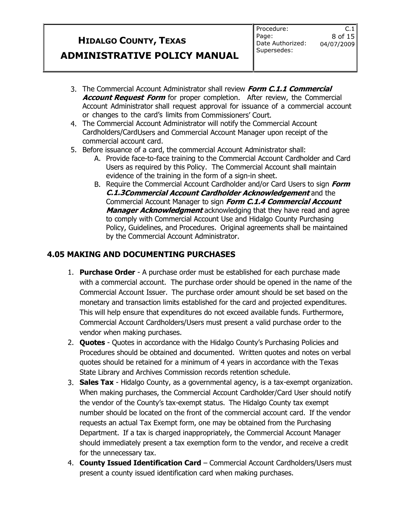- 3. The Commercial Account Administrator shall review **Form C.1.1 Commercial Account Request Form** for proper completion. After review, the Commercial Account Administrator shall request approval for issuance of a commercial account or changes to the card's limits from Commissioners' Court.
- 4. The Commercial Account Administrator will notify the Commercial Account Cardholders/CardUsers and Commercial Account Manager upon receipt of the commercial account card.
- 5. Before issuance of a card, the commercial Account Administrator shall:
	- A. Provide face-to-face training to the Commercial Account Cardholder and Card Users as required by this Policy. The Commercial Account shall maintain evidence of the training in the form of a sign-in sheet.
	- B. Require the Commercial Account Cardholder and/or Card Users to sign **Form C.1.3Commercial Account Cardholder Acknowledgement** and the Commercial Account Manager to sign **Form C.1.4 Commercial Account Manager Acknowledgment** acknowledging that they have read and agree to comply with Commercial Account Use and Hidalgo County Purchasing Policy, Guidelines, and Procedures. Original agreements shall be maintained by the Commercial Account Administrator.

### **4.05 MAKING AND DOCUMENTING PURCHASES**

- 1. **Purchase Order** A purchase order must be established for each purchase made with a commercial account. The purchase order should be opened in the name of the Commercial Account Issuer. The purchase order amount should be set based on the monetary and transaction limits established for the card and projected expenditures. This will help ensure that expenditures do not exceed available funds. Furthermore, Commercial Account Cardholders/Users must present a valid purchase order to the vendor when making purchases.
- 2. **Quotes** Quotes in accordance with the Hidalgo County's Purchasing Policies and Procedures should be obtained and documented. Written quotes and notes on verbal quotes should be retained for a minimum of 4 years in accordance with the Texas State Library and Archives Commission records retention schedule.
- 3. **Sales Tax**  Hidalgo County, as a governmental agency, is a tax-exempt organization. When making purchases, the Commercial Account Cardholder/Card User should notify the vendor of the County's tax-exempt status. The Hidalgo County tax exempt number should be located on the front of the commercial account card. If the vendor requests an actual Tax Exempt form, one may be obtained from the Purchasing Department. If a tax is charged inappropriately, the Commercial Account Manager should immediately present a tax exemption form to the vendor, and receive a credit for the unnecessary tax.
- 4. **County Issued Identification Card**  Commercial Account Cardholders/Users must present a county issued identification card when making purchases.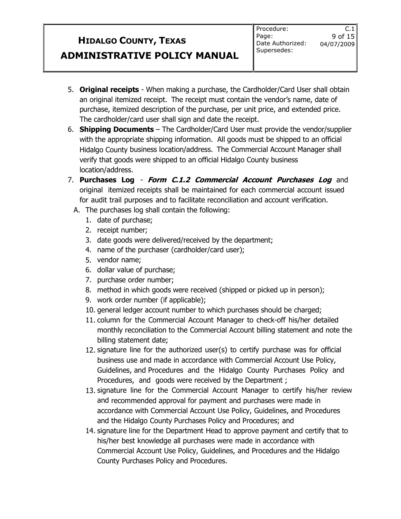$C.1$ 

- 5. **Original receipts** When making a purchase, the Cardholder/Card User shall obtain an original itemized receipt. The receipt must contain the vendor's name, date of purchase, itemized description of the purchase, per unit price, and extended price. The cardholder/card user shall sign and date the receipt.
- 6. **Shipping Documents** The Cardholder/Card User must provide the vendor/supplier with the appropriate shipping information. All goods must be shipped to an official Hidalgo County business location/address. The Commercial Account Manager shall verify that goods were shipped to an official Hidalgo County business location/address.
- 7. **Purchases Log Form C.1.2 Commercial Account Purchases Log** and original itemized receipts shall be maintained for each commercial account issued for audit trail purposes and to facilitate reconciliation and account verification.
	- A. The purchases log shall contain the following:
		- 1. date of purchase;
		- 2. receipt number;
		- 3. date goods were delivered/received by the department;
		- 4. name of the purchaser (cardholder/card user);
		- 5. vendor name;
		- 6. dollar value of purchase;
		- 7. purchase order number;
		- 8. method in which goods were received (shipped or picked up in person);
		- 9. work order number (if applicable);
		- 10. general ledger account number to which purchases should be charged;
		- 11. column for the Commercial Account Manager to check-off his/her detailed monthly reconciliation to the Commercial Account billing statement and note the billing statement date;
		- 12. signature line for the authorized user(s) to certify purchase was for official business use and made in accordance with Commercial Account Use Policy, Guidelines, and Procedures and the Hidalgo County Purchases Policy and Procedures, and goods were received by the Department ;
		- 13. signature line for the Commercial Account Manager to certify his/her review and recommended approval for payment and purchases were made in accordance with Commercial Account Use Policy, Guidelines, and Procedures and the Hidalgo County Purchases Policy and Procedures; and
		- 14. signature line for the Department Head to approve payment and certify that to his/her best knowledge all purchases were made in accordance with Commercial Account Use Policy, Guidelines, and Procedures and the Hidalgo County Purchases Policy and Procedures.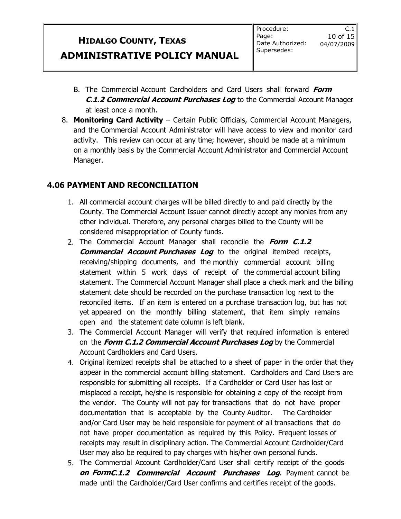$C.1$ 

- B. The Commercial Account Cardholders and Card Users shall forward **Form C.1.2 Commercial Account Purchases Log** to the Commercial Account Manager at least once a month.
- 8. **Monitoring Card Activity** Certain Public Officials, Commercial Account Managers, and the Commercial Account Administrator will have access to view and monitor card activity. This review can occur at any time; however, should be made at a minimum on a monthly basis by the Commercial Account Administrator and Commercial Account Manager.

### **4.06 PAYMENT AND RECONCILIATION**

- 1. All commercial account charges will be billed directly to and paid directly by the County. The Commercial Account Issuer cannot directly accept any monies from any other individual. Therefore, any personal charges billed to the County will be considered misappropriation of County funds.
- 2. The Commercial Account Manager shall reconcile the **Form C.1.2 Commercial Account Purchases Log** to the original itemized receipts, receiving/shipping documents, and the monthly commercial account billing statement within 5 work days of receipt of the commercial account billing statement. The Commercial Account Manager shall place a check mark and the billing statement date should be recorded on the purchase transaction log next to the reconciled items. If an item is entered on a purchase transaction log, but has not yet appeared on the monthly billing statement, that item simply remains open and the statement date column is left blank.
- 3. The Commercial Account Manager will verify that required information is entered on the **Form C.1.2 Commercial Account Purchases Log** by the Commercial Account Cardholders and Card Users.
- 4. Original itemized receipts shall be attached to a sheet of paper in the order that they appear in the commercial account billing statement. Cardholders and Card Users are responsible for submitting all receipts. If a Cardholder or Card User has lost or misplaced a receipt, he/she is responsible for obtaining a copy of the receipt from the vendor. The County will not pay for transactions that do not have proper documentation that is acceptable by the County Auditor. The Cardholder and/or Card User may be held responsible for payment of all transactions that do not have proper documentation as required by this Policy. Frequent losses of receipts may result in disciplinary action. The Commercial Account Cardholder/Card User may also be required to pay charges with his/her own personal funds.
- 5. The Commercial Account Cardholder/Card User shall certify receipt of the goods **on FormC.1.2 Commercial Account Purchases Log**. Payment cannot be made until the Cardholder/Card User confirms and certifies receipt of the goods.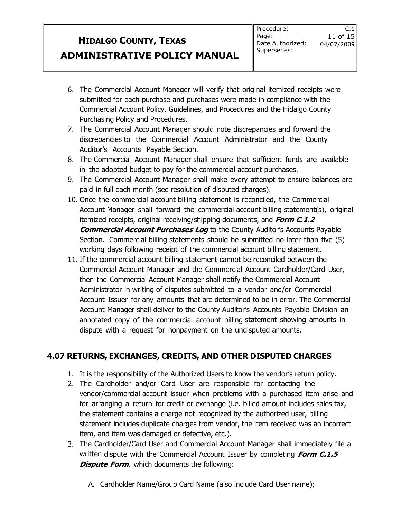$C.1$ 

- 6. The Commercial Account Manager will verify that original itemized receipts were submitted for each purchase and purchases were made in compliance with the Commercial Account Policy, Guidelines, and Procedures and the Hidalgo County Purchasing Policy and Procedures.
- 7. The Commercial Account Manager should note discrepancies and forward the discrepancies to the Commercial Account Administrator and the County Auditor's Accounts Payable Section.
- 8. The Commercial Account Manager shall ensure that sufficient funds are available in the adopted budget to pay for the commercial account purchases.
- 9. The Commercial Account Manager shall make every attempt to ensure balances are paid in full each month (see resolution of disputed charges).
- 10. Once the commercial account billing statement is reconciled, the Commercial Account Manager shall forward the commercial account billing statement(s), original itemized receipts, original receiving/shipping documents, and **Form C.1.2 Commercial Account Purchases Log** to the County Auditor's Accounts Payable Section. Commercial billing statements should be submitted no later than five (5) working days following receipt of the commercial account billing statement.
- 11. If the commercial account billing statement cannot be reconciled between the Commercial Account Manager and the Commercial Account Cardholder/Card User, then the Commercial Account Manager shall notify the Commercial Account Administrator in writing of disputes submitted to a vendor and/or Commercial Account Issuer for any amounts that are determined to be in error. The Commercial Account Manager shall deliver to the County Auditor's Accounts Payable Division an annotated copy of the commercial account billing statement showing amounts in dispute with a request for nonpayment on the undisputed amounts.

### **4.07 RETURNS, EXCHANGES, CREDITS, AND OTHER DISPUTED CHARGES**

- 1. It is the responsibility of the Authorized Users to know the vendor's return policy.
- 2. The Cardholder and/or Card User are responsible for contacting the vendor/commercial account issuer when problems with a purchased item arise and for arranging a return for credit or exchange (i.e. billed amount includes sales tax, the statement contains a charge not recognized by the authorized user, billing statement includes duplicate charges from vendor, the item received was an incorrect item, and item was damaged or defective, etc.).
- 3. The Cardholder/Card User and Commercial Account Manager shall immediately file a written dispute with the Commercial Account Issuer by completing **Form C.1.5 Dispute Form**, which documents the following:
	- A. Cardholder Name/Group Card Name (also include Card User name);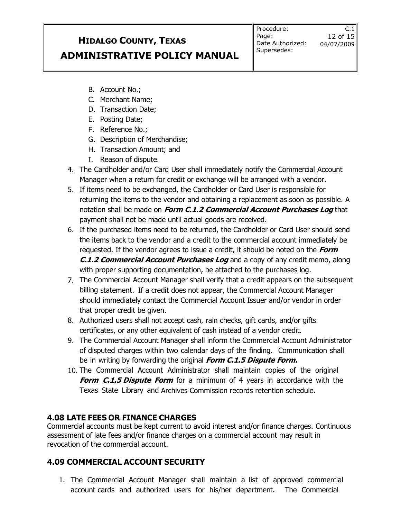Procedure: Page: Date Authorized: Supersedes:

 $C.1$ 

- B. Account No.;
- C. Merchant Name;
- D. Transaction Date;
- E. Posting Date;
- F. Reference No.;
- G. Description of Merchandise;
- H. Transaction Amount; and
- I. Reason of dispute.
- 4. The Cardholder and/or Card User shall immediately notify the Commercial Account Manager when a return for credit or exchange will be arranged with a vendor.
- 5. If items need to be exchanged, the Cardholder or Card User is responsible for returning the items to the vendor and obtaining a replacement as soon as possible. A notation shall be made on **Form C.1.2 Commercial Account Purchases Log** that payment shall not be made until actual goods are received.
- 6. If the purchased items need to be returned, the Cardholder or Card User should send the items back to the vendor and a credit to the commercial account immediately be requested. If the vendor agrees to issue a credit, it should be noted on the **Form C.1.2 Commercial Account Purchases Log** and a copy of any credit memo, along with proper supporting documentation, be attached to the purchases log.
- 7. The Commercial Account Manager shall verify that a credit appears on the subsequent billing statement. If a credit does not appear, the Commercial Account Manager should immediately contact the Commercial Account Issuer and/or vendor in order that proper credit be given.
- 8. Authorized users shall not accept cash, rain checks, gift cards, and/or gifts certificates, or any other equivalent of cash instead of a vendor credit.
- 9. The Commercial Account Manager shall inform the Commercial Account Administrator of disputed charges within two calendar days of the finding. Communication shall be in writing by forwarding the original **Form C.1.5 Dispute Form.**
- 10. The Commercial Account Administrator shall maintain copies of the original **Form C.1.5 Dispute Form** for a minimum of 4 years in accordance with the Texas State Library and Archives Commission records retention schedule.

### **4.08 LATE FEES OR FINANCE CHARGES**

Commercial accounts must be kept current to avoid interest and/or finance charges. Continuous assessment of late fees and/or finance charges on a commercial account may result in revocation of the commercial account.

### **4.09 COMMERCIAL ACCOUNT SECURITY**

1. The Commercial Account Manager shall maintain a list of approved commercial account cards and authorized users for his/her department. The Commercial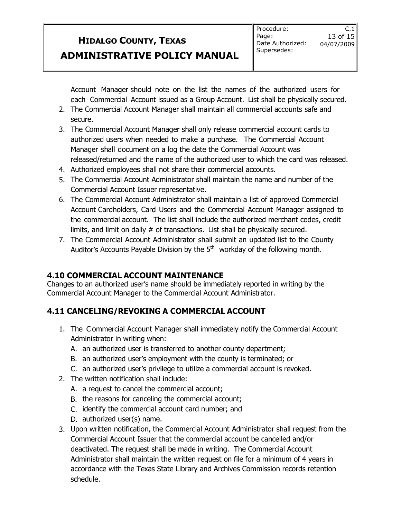$C.1$ 

Account Manager should note on the list the names of the authorized users for each Commercial Account issued as a Group Account. List shall be physically secured.

- 2. The Commercial Account Manager shall maintain all commercial accounts safe and secure.
- 3. The Commercial Account Manager shall only release commercial account cards to authorized users when needed to make a purchase. The Commercial Account Manager shall document on a log the date the Commercial Account was released/returned and the name of the authorized user to which the card was released.
- 4. Authorized employees shall not share their commercial accounts.
- 5. The Commercial Account Administrator shall maintain the name and number of the Commercial Account Issuer representative.
- 6. The Commercial Account Administrator shall maintain a list of approved Commercial Account Cardholders, Card Users and the Commercial Account Manager assigned to the commercial account. The list shall include the authorized merchant codes, credit limits, and limit on daily # of transactions. List shall be physically secured.
- 7. The Commercial Account Administrator shall submit an updated list to the County Auditor's Accounts Payable Division by the  $5<sup>th</sup>$  workday of the following month.

### **4.10 COMMERCIAL ACCOUNT MAINTENANCE**

Changes to an authorized user's name should be immediately reported in writing by the Commercial Account Manager to the Commercial Account Administrator.

### **4.11 CANCELING/REVOKING A COMMERCIAL ACCOUNT**

- 1. The C ommercial Account Manager shall immediately notify the Commercial Account Administrator in writing when:
	- A. an authorized user is transferred to another county department;
	- B. an authorized user's employment with the county is terminated; or
	- C. an authorized user's privilege to utilize a commercial account is revoked.
- 2. The written notification shall include:
	- A. a request to cancel the commercial account;
	- B. the reasons for canceling the commercial account;
	- C. identify the commercial account card number; and
	- D. authorized user(s) name.
- 3. Upon written notification, the Commercial Account Administrator shall request from the Commercial Account Issuer that the commercial account be cancelled and/or deactivated. The request shall be made in writing. The Commercial Account Administrator shall maintain the written request on file for a minimum of 4 years in accordance with the Texas State Library and Archives Commission records retention schedule.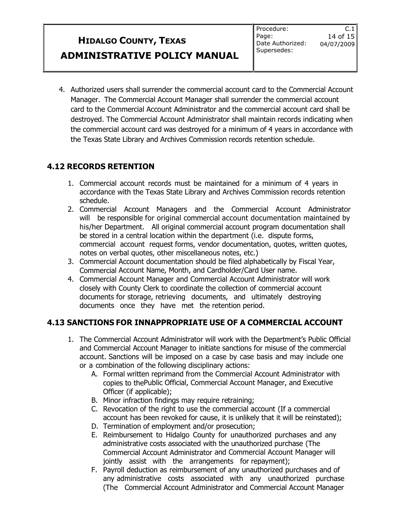$C.1$ 

4. Authorized users shall surrender the commercial account card to the Commercial Account Manager. The Commercial Account Manager shall surrender the commercial account card to the Commercial Account Administrator and the commercial account card shall be destroyed. The Commercial Account Administrator shall maintain records indicating when the commercial account card was destroyed for a minimum of 4 years in accordance with the Texas State Library and Archives Commission records retention schedule.

### **4.12 RECORDS RETENTION**

- 1. Commercial account records must be maintained for a minimum of 4 years in accordance with the Texas State Library and Archives Commission records retention schedule.
- 2. Commercial Account Managers and the Commercial Account Administrator will be responsible for original commercial account documentation maintained by his/her Department. All original commercial account program documentation shall be stored in a central location within the department (i.e. dispute forms, commercial account request forms, vendor documentation, quotes, written quotes, notes on verbal quotes, other miscellaneous notes, etc.)
- 3. Commercial Account documentation should be filed alphabetically by Fiscal Year, Commercial Account Name, Month, and Cardholder/Card User name.
- 4. Commercial Account Manager and Commercial Account Administrator will work closely with County Clerk to coordinate the collection of commercial account documents for storage, retrieving documents, and ultimately destroying documents once they have met the retention period.

### **4.13 SANCTIONS FOR INNAPPROPRIATE USE OF A COMMERCIAL ACCOUNT**

- 1. The Commercial Account Administrator will work with the Department's Public Official and Commercial Account Manager to initiate sanctions for misuse of the commercial account. Sanctions will be imposed on a case by case basis and may include one or a combination of the following disciplinary actions:
	- A. Formal written reprimand from the Commercial Account Administrator with copies to thePublic Official, Commercial Account Manager, and Executive Officer (if applicable);
	- B. Minor infraction findings may require retraining;
	- C. Revocation of the right to use the commercial account (If a commercial account has been revoked for cause, it is unlikely that it will be reinstated);
	- D. Termination of employment and/or prosecution;
	- E. Reimbursement to Hidalgo County for unauthorized purchases and any administrative costs associated with the unauthorized purchase (The Commercial Account Administrator and Commercial Account Manager will jointly assist with the arrangements for repayment);
	- F. Payroll deduction as reimbursement of any unauthorized purchases and of any administrative costs associated with any unauthorized purchase (The Commercial Account Administrator and Commercial Account Manager